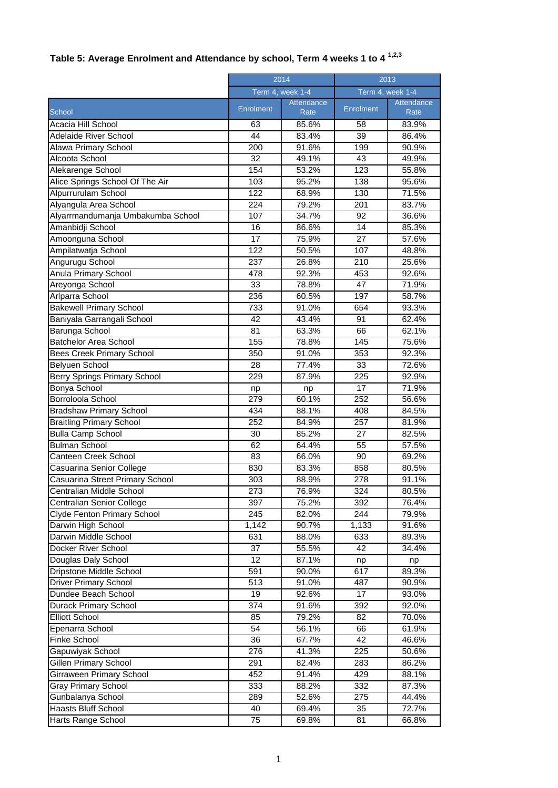## **Table 5: Average Enrolment and Attendance by school, Term 4 weeks 1 to 4 1,2,3**

|                                    |                  | 2014               |                  | 2013               |  |
|------------------------------------|------------------|--------------------|------------------|--------------------|--|
|                                    | Term 4, week 1-4 |                    | Term 4, week 1-4 |                    |  |
| School                             | <b>Enrolment</b> | Attendance<br>Rate | <b>Enrolment</b> | Attendance<br>Rate |  |
| Acacia Hill School                 | 63               | 85.6%              | 58               | 83.9%              |  |
| <b>Adelaide River School</b>       | 44               | 83.4%              | 39               | 86.4%              |  |
| Alawa Primary School               | 200              | 91.6%              | 199              | 90.9%              |  |
| Alcoota School                     | 32               | 49.1%              | 43               | 49.9%              |  |
| Alekarenge School                  | 154              | 53.2%              | 123              | 55.8%              |  |
| Alice Springs School Of The Air    | 103              | 95.2%              | 138              | 95.6%              |  |
| Alpurrurulam School                | 122              | 68.9%              | 130              | 71.5%              |  |
| Alyangula Area School              | 224              | 79.2%              | 201              | 83.7%              |  |
| Alyarrmandumanja Umbakumba School  | 107              | 34.7%              | 92               | 36.6%              |  |
| Amanbidji School                   | 16               | 86.6%              | 14               | 85.3%              |  |
| Amoonguna School                   | 17               | 75.9%              | 27               | 57.6%              |  |
| Ampilatwatja School                | $\overline{122}$ | 50.5%              | 107              | 48.8%              |  |
| Angurugu School                    | 237              | 26.8%              | 210              | 25.6%              |  |
| Anula Primary School               | 478              | 92.3%              | 453              | 92.6%              |  |
| Areyonga School                    | $\overline{33}$  | 78.8%              | 47               | 71.9%              |  |
| Arlparra School                    | 236              | 60.5%              | 197              | 58.7%              |  |
| <b>Bakewell Primary School</b>     | 733              | 91.0%              | 654              | 93.3%              |  |
| Baniyala Garrangali School         | 42               | 43.4%              | 91               | 62.4%              |  |
|                                    | 81               | 63.3%              | 66               | 62.1%              |  |
| Barunga School                     | 155              |                    |                  |                    |  |
| <b>Batchelor Area School</b>       |                  | 78.8%              | 145              | 75.6%              |  |
| Bees Creek Primary School          | 350              | 91.0%              | 353              | 92.3%              |  |
| Belyuen School                     | 28               | 77.4%              | 33               | 72.6%              |  |
| Berry Springs Primary School       | 229              | 87.9%              | 225              | 92.9%              |  |
| Bonya School                       | np               | np                 | $\overline{17}$  | 71.9%              |  |
| Borroloola School                  | 279              | 60.1%              | 252              | 56.6%              |  |
| <b>Bradshaw Primary School</b>     | 434              | 88.1%              | 408              | 84.5%              |  |
| <b>Braitling Primary School</b>    | 252              | 84.9%              | 257              | 81.9%              |  |
| <b>Bulla Camp School</b>           | 30               | 85.2%              | 27               | 82.5%              |  |
| <b>Bulman School</b>               | 62               | 64.4%              | $\overline{55}$  | 57.5%              |  |
| Canteen Creek School               | 83               | 66.0%              | 90               | 69.2%              |  |
| Casuarina Senior College           | 830              | 83.3%              | 858              | 80.5%              |  |
| Casuarina Street Primary School    | 303              | 88.9%              | 278              | 91.1%              |  |
| Centralian Middle School           | $\overline{273}$ | 76.9%              | 324              | 80.5%              |  |
| Centralian Senior College          | 397              | 75.2%              | 392              | 76.4%              |  |
| <b>Clyde Fenton Primary School</b> | 245              | 82.0%              | 244              | 79.9%              |  |
| Darwin High School                 | 1,142            | 90.7%              | 1,133            | 91.6%              |  |
| Darwin Middle School               | 631              | 88.0%              | 633              | 89.3%              |  |
| <b>Docker River School</b>         | 37               | 55.5%              | 42               | 34.4%              |  |
| Douglas Daly School                | 12               | 87.1%              | np               | np                 |  |
| Dripstone Middle School            | 591              | 90.0%              | 617              | 89.3%              |  |
| <b>Driver Primary School</b>       | 513              | 91.0%              | 487              | 90.9%              |  |
| Dundee Beach School                | 19               | 92.6%              | 17               | 93.0%              |  |
| Durack Primary School              | 374              | 91.6%              | 392              | 92.0%              |  |
| <b>Elliott School</b>              | 85               | 79.2%              | 82               | 70.0%              |  |
| Epenarra School                    | 54               | 56.1%              | 66               | 61.9%              |  |
| Finke School                       | 36               | 67.7%              | 42               | 46.6%              |  |
| Gapuwiyak School                   | 276              | 41.3%              | 225              | 50.6%              |  |
| <b>Gillen Primary School</b>       | 291              | 82.4%              | 283              | 86.2%              |  |
| Girraween Primary School           | 452              | 91.4%              | 429              | 88.1%              |  |
| <b>Gray Primary School</b>         | 333              | 88.2%              | 332              | 87.3%              |  |
| Gunbalanya School                  | 289              | 52.6%              | 275              | 44.4%              |  |
| Haasts Bluff School                | 40               | 69.4%              | 35               | 72.7%              |  |
| Harts Range School                 | $\overline{75}$  | 69.8%              | 81               | 66.8%              |  |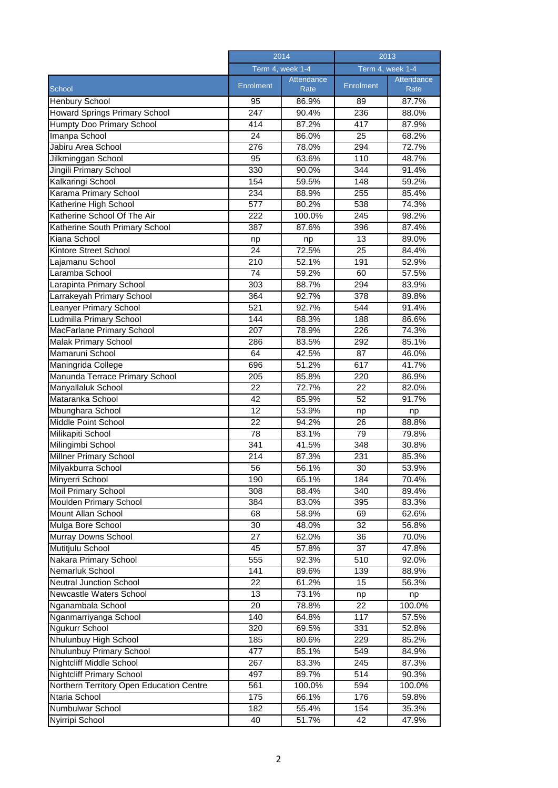|                                          | 2014<br>Term 4, week 1-4 |               | 2013<br>Term 4, week 1-4 |               |
|------------------------------------------|--------------------------|---------------|--------------------------|---------------|
|                                          |                          |               |                          |               |
| School                                   | <b>Enrolment</b>         | Attendance    | Enrolment                | Attendance    |
| Henbury School                           | 95                       | Rate<br>86.9% | 89                       | Rate<br>87.7% |
| Howard Springs Primary School            | 247                      | 90.4%         | 236                      | 88.0%         |
| Humpty Doo Primary School                | 414                      | 87.2%         | 417                      | 87.9%         |
| Imanpa School                            | 24                       |               | 25                       | 68.2%         |
|                                          |                          | 86.0%         |                          |               |
| Jabiru Area School                       | 276                      | 78.0%         | 294                      | 72.7%         |
| Jilkminggan School                       | 95                       | 63.6%         | 110                      | 48.7%         |
| Jingili Primary School                   | 330                      | 90.0%         | 344                      | 91.4%         |
| Kalkaringi School                        | 154                      | 59.5%         | 148                      | 59.2%         |
| Karama Primary School                    | 234                      | 88.9%         | 255                      | 85.4%         |
| Katherine High School                    | 577                      | 80.2%         | 538                      | 74.3%         |
| Katherine School Of The Air              | 222                      | 100.0%        | 245                      | 98.2%         |
| Katherine South Primary School           | 387                      | 87.6%         | 396                      | 87.4%         |
| Kiana School                             | np                       | np            | 13                       | 89.0%         |
| Kintore Street School                    | 24                       | 72.5%         | 25                       | 84.4%         |
| Lajamanu School                          | 210                      | 52.1%         | 191                      | 52.9%         |
| Laramba School                           | 74                       | 59.2%         | 60                       | 57.5%         |
| Larapinta Primary School                 | 303                      | 88.7%         | 294                      | 83.9%         |
| Larrakeyah Primary School                | 364                      | 92.7%         | 378                      | 89.8%         |
| Leanyer Primary School                   | 521                      | 92.7%         | 544                      | 91.4%         |
| Ludmilla Primary School                  | 144                      | 88.3%         | 188                      | 86.6%         |
| MacFarlane Primary School                | 207                      | 78.9%         | 226                      | 74.3%         |
| <b>Malak Primary School</b>              | 286                      | 83.5%         | 292                      | 85.1%         |
| Mamaruni School                          | 64                       | 42.5%         | 87                       | 46.0%         |
| Maningrida College                       | 696                      | 51.2%         | 617                      | 41.7%         |
| Manunda Terrace Primary School           | 205                      | 85.8%         | 220                      | 86.9%         |
|                                          | 22                       | 72.7%         | 22                       |               |
| Manyallaluk School                       |                          |               |                          | 82.0%         |
| Mataranka School                         | 42                       | 85.9%         | 52                       | 91.7%         |
| Mbunghara School                         | 12                       | 53.9%         | np                       | np            |
| Middle Point School                      | 22                       | 94.2%         | 26                       | 88.8%         |
| Milikapiti School                        | 78                       | 83.1%         | 79                       | 79.8%         |
| Milingimbi School                        | 341                      | 41.5%         | 348                      | 30.8%         |
| Millner Primary School                   | 214                      | 87.3%         | 231                      | 85.3%         |
| Milyakburra School                       | 56                       | 56.1%         | 30                       | 53.9%         |
| Minyerri School                          | 190                      | 65.1%         | 184                      | 70.4%         |
| <b>Moil Primary School</b>               | 308                      | 88.4%         | 340                      | 89.4%         |
| <b>Moulden Primary School</b>            | 384                      | 83.0%         | 395                      | 83.3%         |
| Mount Allan School                       | 68                       | 58.9%         | 69                       | 62.6%         |
| Mulga Bore School                        | 30                       | 48.0%         | 32                       | 56.8%         |
| Murray Downs School                      | 27                       | 62.0%         | 36                       | 70.0%         |
| Mutitjulu School                         | 45                       | 57.8%         | 37                       | 47.8%         |
| Nakara Primary School                    | 555                      | 92.3%         | 510                      | 92.0%         |
| Nemarluk School                          | 141                      | 89.6%         | 139                      | 88.9%         |
| <b>Neutral Junction School</b>           | 22                       | 61.2%         | 15                       | 56.3%         |
| Newcastle Waters School                  | 13                       | 73.1%         | np                       | np            |
| Nganambala School                        | 20                       | 78.8%         | $\overline{22}$          | 100.0%        |
| Nganmarriyanga School                    | 140                      | 64.8%         | 117                      | 57.5%         |
| Ngukurr School                           | 320                      | 69.5%         | 331                      | 52.8%         |
| Nhulunbuy High School                    | 185                      | 80.6%         | 229                      | 85.2%         |
| Nhulunbuy Primary School                 | 477                      | 85.1%         | 549                      | 84.9%         |
| Nightcliff Middle School                 | 267                      | 83.3%         | 245                      | 87.3%         |
| <b>Nightcliff Primary School</b>         | 497                      | 89.7%         | 514                      | 90.3%         |
| Northern Territory Open Education Centre | 561                      |               | 594                      |               |
|                                          |                          | 100.0%        |                          | 100.0%        |
| Ntaria School                            | 175                      | 66.1%         | 176                      | 59.8%         |
| Numbulwar School                         | 182                      | 55.4%         | 154                      | 35.3%         |
| Nyirripi School                          | 40                       | 51.7%         | 42                       | 47.9%         |